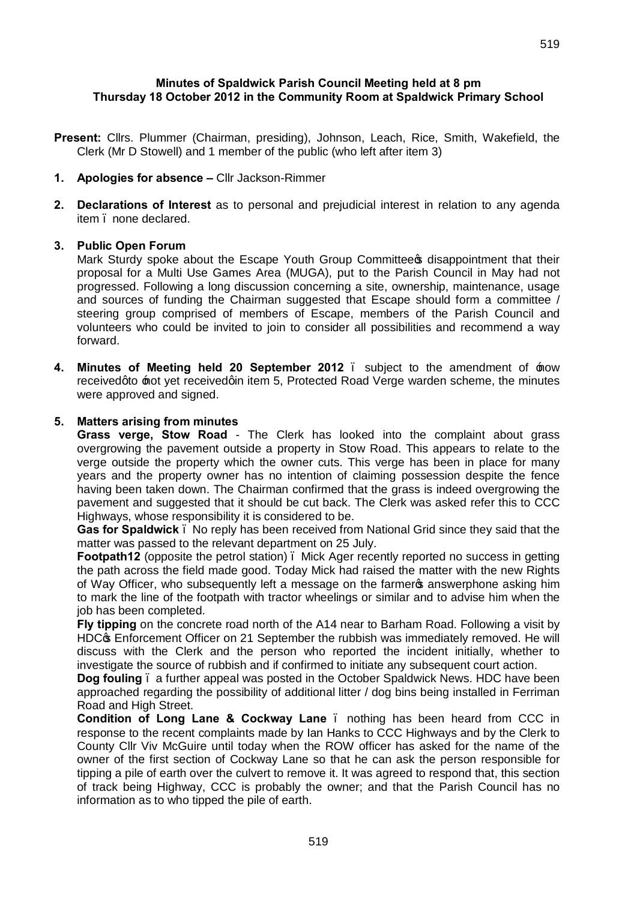**Present:** Cllrs. Plummer (Chairman, presiding), Johnson, Leach, Rice, Smith, Wakefield, the Clerk (Mr D Stowell) and 1 member of the public (who left after item 3)

# **1. Apologies for absence –** Cllr Jackson-Rimmer

**2. Declarations of Interest** as to personal and prejudicial interest in relation to any agenda item – none declared.

#### **3. Public Open Forum**

Mark Sturdy spoke about the Escape Youth Group Committee of disappointment that their proposal for a Multi Use Games Area (MUGA), put to the Parish Council in May had not progressed. Following a long discussion concerning a site, ownership, maintenance, usage and sources of funding the Chairman suggested that Escape should form a committee / steering group comprised of members of Escape, members of the Parish Council and volunteers who could be invited to join to consider all possibilities and recommend a way forward.

**4. Minutes of Meeting held 20 September 2012** – subject to the amendment of 'now received ato the treceived ain item 5, Protected Road Verge warden scheme, the minutes were approved and signed.

#### **5. Matters arising from minutes**

**Grass verge, Stow Road** - The Clerk has looked into the complaint about grass overgrowing the pavement outside a property in Stow Road. This appears to relate to the verge outside the property which the owner cuts. This verge has been in place for many years and the property owner has no intention of claiming possession despite the fence having been taken down. The Chairman confirmed that the grass is indeed overgrowing the pavement and suggested that it should be cut back. The Clerk was asked refer this to CCC Highways, whose responsibility it is considered to be.

**Gas for Spaldwick** – No reply has been received from National Grid since they said that the matter was passed to the relevant department on 25 July.

**Footpath12** (opposite the petrol station) . Mick Ager recently reported no success in getting the path across the field made good. Today Mick had raised the matter with the new Rights of Way Officer, who subsequently left a message on the farmer passumer phone asking him to mark the line of the footpath with tractor wheelings or similar and to advise him when the job has been completed.

**Fly tipping** on the concrete road north of the A14 near to Barham Road. Following a visit by HDC<sub>\*</sub> Enforcement Officer on 21 September the rubbish was immediately removed. He will discuss with the Clerk and the person who reported the incident initially, whether to investigate the source of rubbish and if confirmed to initiate any subsequent court action.

**Dog fouling** – a further appeal was posted in the October Spaldwick News. HDC have been approached regarding the possibility of additional litter / dog bins being installed in Ferriman Road and High Street.

**Condition of Long Lane & Cockway Lane** . nothing has been heard from CCC in response to the recent complaints made by Ian Hanks to CCC Highways and by the Clerk to County Cllr Viv McGuire until today when the ROW officer has asked for the name of the owner of the first section of Cockway Lane so that he can ask the person responsible for tipping a pile of earth over the culvert to remove it. It was agreed to respond that, this section of track being Highway, CCC is probably the owner; and that the Parish Council has no information as to who tipped the pile of earth.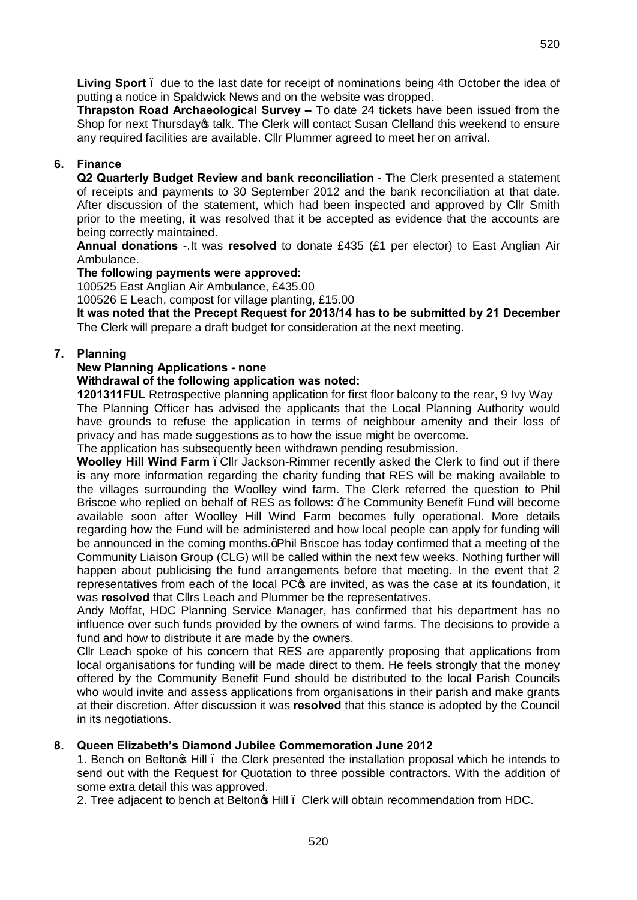**Living Sport** – due to the last date for receipt of nominations being 4th October the idea of putting a notice in Spaldwick News and on the website was dropped.

**Thrapston Road Archaeological Survey –** To date 24 tickets have been issued from the Shop for next Thursday<sub>®</sub> talk. The Clerk will contact Susan Clelland this weekend to ensure any required facilities are available. Cllr Plummer agreed to meet her on arrival.

# **6. Finance**

**Q2 Quarterly Budget Review and bank reconciliation** - The Clerk presented a statement of receipts and payments to 30 September 2012 and the bank reconciliation at that date. After discussion of the statement, which had been inspected and approved by Cllr Smith prior to the meeting, it was resolved that it be accepted as evidence that the accounts are being correctly maintained.

**Annual donations** -.It was **resolved** to donate £435 (£1 per elector) to East Anglian Air Ambulance.

## **The following payments were approved:**

100525 East Anglian Air Ambulance, £435.00

100526 E Leach, compost for village planting, £15.00

**It was noted that the Precept Request for 2013/14 has to be submitted by 21 December** The Clerk will prepare a draft budget for consideration at the next meeting.

## **7. Planning**

#### **New Planning Applications - none**

#### **Withdrawal of the following application was noted:**

**1201311FUL** Retrospective planning application for first floor balcony to the rear, 9 Ivy Way The Planning Officer has advised the applicants that the Local Planning Authority would have grounds to refuse the application in terms of neighbour amenity and their loss of privacy and has made suggestions as to how the issue might be overcome.

The application has subsequently been withdrawn pending resubmission.

**Woolley Hill Wind Farm** –Cllr Jackson-Rimmer recently asked the Clerk to find out if there is any more information regarding the charity funding that RES will be making available to the villages surrounding the Woolley wind farm. The Clerk referred the question to Phil Briscoe who replied on behalf of RES as follows:  $\exists$  he Community Benefit Fund will become available soon after Woolley Hill Wind Farm becomes fully operational. More details regarding how the Fund will be administered and how local people can apply for funding will be announced in the coming months.qPhil Briscoe has today confirmed that a meeting of the Community Liaison Group (CLG) will be called within the next few weeks. Nothing further will happen about publicising the fund arrangements before that meeting. In the event that 2 representatives from each of the local PC $\sigma$  are invited, as was the case at its foundation, it was **resolved** that Cllrs Leach and Plummer be the representatives.

Andy Moffat, HDC Planning Service Manager, has confirmed that his department has no influence over such funds provided by the owners of wind farms. The decisions to provide a fund and how to distribute it are made by the owners.

Cllr Leach spoke of his concern that RES are apparently proposing that applications from local organisations for funding will be made direct to them. He feels strongly that the money offered by the Community Benefit Fund should be distributed to the local Parish Councils who would invite and assess applications from organisations in their parish and make grants at their discretion. After discussion it was **resolved** that this stance is adopted by the Council in its negotiations.

## **8. Queen Elizabeth's Diamond Jubilee Commemoration June 2012**

1. Bench on Belton's Hill – the Clerk presented the installation proposal which he intends to send out with the Request for Quotation to three possible contractors. With the addition of some extra detail this was approved.

2. Tree adjacent to bench at Belton $\infty$  Hill . Clerk will obtain recommendation from HDC.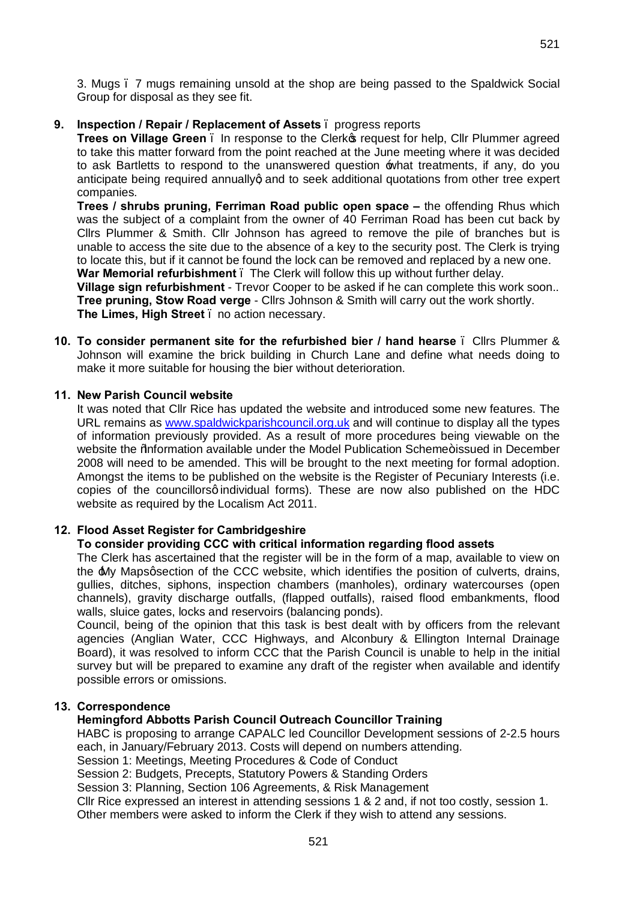3. Mugs – 7 mugs remaining unsold at the shop are being passed to the Spaldwick Social Group for disposal as they see fit.

## **9. Inspection / Repair / Replacement of Assets** – progress reports

**Trees on Village Green** . In response to the Clerk of request for help, Cllr Plummer agreed to take this matter forward from the point reached at the June meeting where it was decided to ask Bartletts to respond to the unanswered question  $\pm$ what treatments, if any, do you anticipate being required annuallyg and to seek additional quotations from other tree expert companies.

**Trees / shrubs pruning, Ferriman Road public open space – the offending Rhus which** was the subject of a complaint from the owner of 40 Ferriman Road has been cut back by Cllrs Plummer & Smith. Cllr Johnson has agreed to remove the pile of branches but is unable to access the site due to the absence of a key to the security post. The Clerk is trying to locate this, but if it cannot be found the lock can be removed and replaced by a new one. **War Memorial refurbishment** – The Clerk will follow this up without further delay.

**Village sign refurbishment** - Trevor Cooper to be asked if he can complete this work soon.. **Tree pruning, Stow Road verge** - Cllrs Johnson & Smith will carry out the work shortly. **The Limes, High Street** – no action necessary.

**10. To consider permanent site for the refurbished bier / hand hearse** – Cllrs Plummer & Johnson will examine the brick building in Church Lane and define what needs doing to make it more suitable for housing the bier without deterioration.

## **11. New Parish Council website**

It was noted that Cllr Rice has updated the website and introduced some new features. The URL remains as [www.spaldwickparishcouncil.org.uk](http://www.spaldwickparishcouncil.org.uk/) and will continue to display all the types of information previously provided. As a result of more procedures being viewable on the website the % aformation available under the Model Publication Scheme+ issued in December 2008 will need to be amended. This will be brought to the next meeting for formal adoption. Amongst the items to be published on the website is the Register of Pecuniary Interests (i.e. copies of the councillorsq individual forms). These are now also published on the HDC website as required by the Localism Act 2011.

## **12. Flood Asset Register for Cambridgeshire**

## **To consider providing CCC with critical information regarding flood assets**

The Clerk has ascertained that the register will be in the form of a map, available to view on the  $\text{MV}$  Mapsgsection of the CCC website, which identifies the position of culverts, drains, gullies, ditches, siphons, inspection chambers (manholes), ordinary watercourses (open channels), gravity discharge outfalls, (flapped outfalls), raised flood embankments, flood walls, sluice gates, locks and reservoirs (balancing ponds).

Council, being of the opinion that this task is best dealt with by officers from the relevant agencies (Anglian Water, CCC Highways, and Alconbury & Ellington Internal Drainage Board), it was resolved to inform CCC that the Parish Council is unable to help in the initial survey but will be prepared to examine any draft of the register when available and identify possible errors or omissions.

## **13. Correspondence**

## **Hemingford Abbotts Parish Council Outreach Councillor Training**

HABC is proposing to arrange CAPALC led Councillor Development sessions of 2-2.5 hours each, in January/February 2013. Costs will depend on numbers attending. Session 1: Meetings, Meeting Procedures & Code of Conduct

Session 2: Budgets, Precepts, Statutory Powers & Standing Orders

Session 3: Planning, Section 106 Agreements, & Risk Management

Cllr Rice expressed an interest in attending sessions 1 & 2 and, if not too costly, session 1. Other members were asked to inform the Clerk if they wish to attend any sessions.